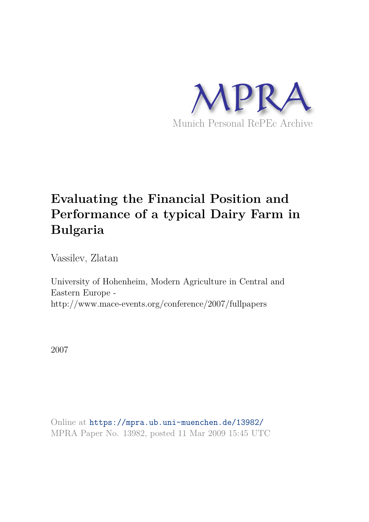

# **Evaluating the Financial Position and Performance of a typical Dairy Farm in Bulgaria**

Vassilev, Zlatan

University of Hohenheim, Modern Agriculture in Central and Eastern Europe http://www.mace-events.org/conference/2007/fullpapers

2007

Online at https://mpra.ub.uni-muenchen.de/13982/ MPRA Paper No. 13982, posted 11 Mar 2009 15:45 UTC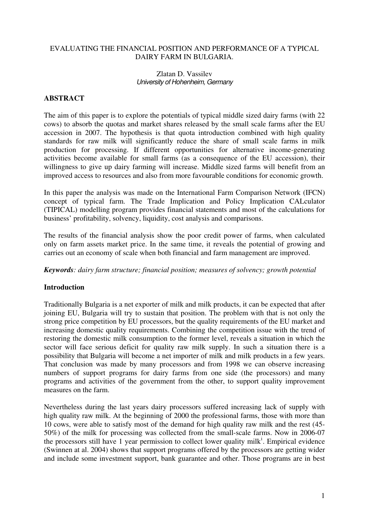## EVALUATING THE FINANCIAL POSITION AND PERFORMANCE OF A TYPICAL DAIRY FARM IN BULGARIA.

#### Zlatan D. Vassilev University of Hohenheim, Germany

## **ABSTRACT**

The aim of this paper is to explore the potentials of typical middle sized dairy farms (with 22 cows) to absorb the quotas and market shares released by the small scale farms after the EU accession in 2007. The hypothesis is that quota introduction combined with high quality standards for raw milk will significantly reduce the share of small scale farms in milk production for processing. If different opportunities for alternative income-generating activities become available for small farms (as a consequence of the EU accession), their willingness to give up dairy farming will increase. Middle sized farms will benefit from an improved access to resources and also from more favourable conditions for economic growth.

In this paper the analysis was made on the International Farm Comparison Network (IFCN) concept of typical farm. The Trade Implication and Policy Implication CALculator (TIPICAL) modelling program provides financial statements and most of the calculations for business' profitability, solvency, liquidity, cost analysis and comparisons.

The results of the financial analysis show the poor credit power of farms, when calculated only on farm assets market price. In the same time, it reveals the potential of growing and carries out an economy of scale when both financial and farm management are improved.

*Keywords: dairy farm structure; financial position; measures of solvency; growth potential* 

## **Introduction**

Traditionally Bulgaria is a net exporter of milk and milk products, it can be expected that after joining EU, Bulgaria will try to sustain that position. The problem with that is not only the strong price competition by EU processors, but the quality requirements of the EU market and increasing domestic quality requirements. Combining the competition issue with the trend of restoring the domestic milk consumption to the former level, reveals a situation in which the sector will face serious deficit for quality raw milk supply. In such a situation there is a possibility that Bulgaria will become a net importer of milk and milk products in a few years. That conclusion was made by many processors and from 1998 we can observe increasing numbers of support programs for dairy farms from one side (the processors) and many programs and activities of the government from the other, to support quality improvement measures on the farm.

Nevertheless during the last years dairy processors suffered increasing lack of supply with high quality raw milk. At the beginning of 2000 the professional farms, those with more than 10 cows, were able to satisfy most of the demand for high quality raw milk and the rest (45- 50%) of the milk for processing was collected from the small-scale farms. Now in 2006-07 the processors still have 1 year permission to collect lower quality milk<sup>i</sup>. Empirical evidence (Swinnen at al. 2004) shows that support programs offered by the processors are getting wider and include some investment support, bank guarantee and other. Those programs are in best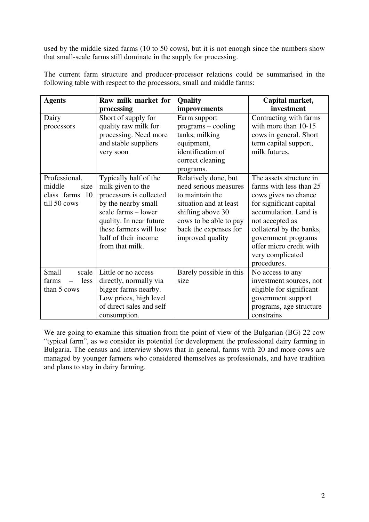used by the middle sized farms (10 to 50 cows), but it is not enough since the numbers show that small-scale farms still dominate in the supply for processing.

| <b>Agents</b>     | Raw milk market for      | Quality                 | Capital market,          |
|-------------------|--------------------------|-------------------------|--------------------------|
|                   | processing               | improvements            | investment               |
| Dairy             | Short of supply for      | Farm support            | Contracting with farms   |
| processors        | quality raw milk for     | $programs - cooling$    | with more than $10-15$   |
|                   | processing. Need more    | tanks, milking          | cows in general. Short   |
|                   | and stable suppliers     | equipment,              | term capital support,    |
|                   | very soon                | identification of       | milk futures,            |
|                   |                          | correct cleaning        |                          |
|                   |                          | programs.               |                          |
| Professional,     | Typically half of the    | Relatively done, but    | The assets structure in  |
| middle<br>size    | milk given to the        | need serious measures   | farms with less than 25  |
| 10<br>class farms | processors is collected  | to maintain the         | cows gives no chance     |
| till 50 cows      | by the nearby small      | situation and at least  | for significant capital  |
|                   | scale farms - lower      | shifting above 30       | accumulation. Land is    |
|                   | quality. In near future  | cows to be able to pay  | not accepted as          |
|                   | these farmers will lose  | back the expenses for   | collateral by the banks, |
|                   | half of their income     | improved quality        | government programs      |
|                   | from that milk.          |                         | offer micro credit with  |
|                   |                          |                         | very complicated         |
|                   |                          |                         | procedures.              |
| Small<br>scale    | Little or no access      | Barely possible in this | No access to any         |
| less<br>farms     | directly, normally via   | size                    | investment sources, not  |
| than 5 cows       | bigger farms nearby.     |                         | eligible for significant |
|                   | Low prices, high level   |                         | government support       |
|                   | of direct sales and self |                         | programs, age structure  |
|                   | consumption.             |                         | constrains               |

The current farm structure and producer-processor relations could be summarised in the following table with respect to the processors, small and middle farms:

We are going to examine this situation from the point of view of the Bulgarian (BG) 22 cow "typical farm", as we consider its potential for development the professional dairy farming in Bulgaria. The census and interview shows that in general, farms with 20 and more cows are managed by younger farmers who considered themselves as professionals, and have tradition and plans to stay in dairy farming.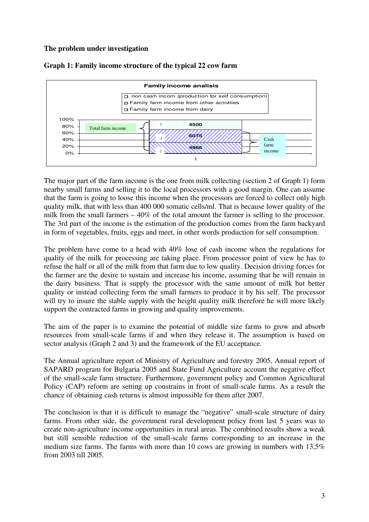#### **The problem under investigation**



#### **Graph 1: Family income structure of the typical 22 cow farm**

The major part of the farm income is the one from milk collecting (section 2 of Graph 1) form nearby small farms and selling it to the local processors with a good margin. One can assume that the farm is going to loose this income when the processors are forced to collect only high quality milk, that with less than 400 000 somatic cells/ml. That is because lower quality of the milk from the small farmers – 40% of the total amount the farmer is selling to the processor. The 3rd part of the income is the estimation of the production comes from the farm backyard in form of vegetables, fruits, eggs and meet, in other words production for self consumption.

The problem have come to a head with 40% lose of cash income when the regulations for quality of the milk for processing are taking place. From processor point of view he has to refuse the half or all of the milk from that farm due to low quality. Decision driving forces for the farmer are the desire to sustain and increase his income, assuming that he will remain in the dairy business. That is supply the processor with the same amount of milk but better quality or instead collecting form the small farmers to produce it by his self. The processor will try to insure the stable supply with the height quality milk therefore he will more likely support the contracted farms in growing and quality improvements.

The aim of the paper is to examine the potential of middle size farms to grow and absorb resources from small-scale farms if and when they release it. The assumption is based on sector analysis (Graph 2 and 3) and the framework of the EU acceptance.

The Annual agriculture report of Ministry of Agriculture and forestry 2005, Annual report of SAPARD program for Bulgaria 2005 and State Fund Agriculture account the negative effect of the small-scale farm structure. Furthermore, government policy and Common Agricultural Policy (CAP) reform are setting up constrains in front of small-scale farms. As a result the chance of obtaining cash returns is almost impossible for them after 2007.

The conclusion is that it is difficult to manage the "negative" small-scale structure of dairy farms. From other side, the government rural development policy from last 5 years was to create non-agriculture income opportunities in rural areas. The combined results show a weak but still sensible reduction of the small-scale farms corresponding to an increase in the medium size farms. The farms with more than 10 cows are growing in numbers with 13,5% from 2003 till 2005.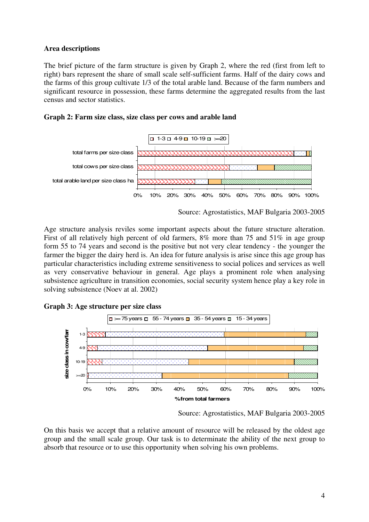#### **Area descriptions**

The brief picture of the farm structure is given by Graph 2, where the red (first from left to right) bars represent the share of small scale self-sufficient farms. Half of the dairy cows and the farms of this group cultivate 1/3 of the total arable land. Because of the farm numbers and significant resource in possession, these farms determine the aggregated results from the last census and sector statistics.





Source: Agrostatistics, MAF Bulgaria 2003-2005

Age structure analysis reviles some important aspects about the future structure alteration. First of all relatively high percent of old farmers, 8% more than 75 and 51% in age group form 55 to 74 years and second is the positive but not very clear tendency - the younger the farmer the bigger the dairy herd is. An idea for future analysis is arise since this age group has particular characteristics including extreme sensitiveness to social polices and services as well as very conservative behaviour in general. Age plays a prominent role when analysing subsistence agriculture in transition economies, social security system hence play a key role in solving subsistence (Noev at al. 2002)





Source: Agrostatistics, MAF Bulgaria 2003-2005

On this basis we accept that a relative amount of resource will be released by the oldest age group and the small scale group. Our task is to determinate the ability of the next group to absorb that resource or to use this opportunity when solving his own problems.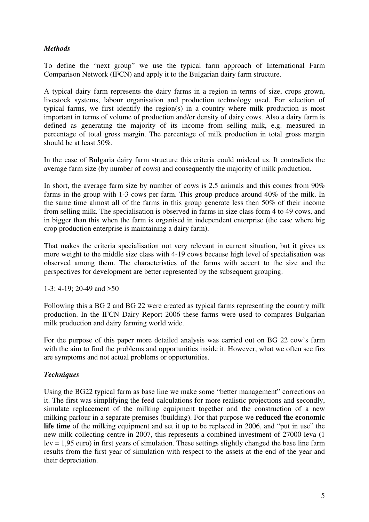## *Methods*

To define the "next group" we use the typical farm approach of International Farm Comparison Network (IFCN) and apply it to the Bulgarian dairy farm structure.

A typical dairy farm represents the dairy farms in a region in terms of size, crops grown, livestock systems, labour organisation and production technology used. For selection of typical farms, we first identify the region(s) in a country where milk production is most important in terms of volume of production and/or density of dairy cows. Also a dairy farm is defined as generating the majority of its income from selling milk, e.g. measured in percentage of total gross margin. The percentage of milk production in total gross margin should be at least 50%.

In the case of Bulgaria dairy farm structure this criteria could mislead us. It contradicts the average farm size (by number of cows) and consequently the majority of milk production.

In short, the average farm size by number of cows is 2.5 animals and this comes from 90% farms in the group with 1-3 cows per farm. This group produce around 40% of the milk. In the same time almost all of the farms in this group generate less then 50% of their income from selling milk. The specialisation is observed in farms in size class form 4 to 49 cows, and in bigger than this when the farm is organised in independent enterprise (the case where big crop production enterprise is maintaining a dairy farm).

That makes the criteria specialisation not very relevant in current situation, but it gives us more weight to the middle size class with 4-19 cows because high level of specialisation was observed among them. The characteristics of the farms with accent to the size and the perspectives for development are better represented by the subsequent grouping.

1-3; 4-19; 20-49 and >50

Following this a BG 2 and BG 22 were created as typical farms representing the country milk production. In the IFCN Dairy Report 2006 these farms were used to compares Bulgarian milk production and dairy farming world wide.

For the purpose of this paper more detailed analysis was carried out on BG 22 cow's farm with the aim to find the problems and opportunities inside it. However, what we often see firs are symptoms and not actual problems or opportunities.

## *Techniques*

Using the BG22 typical farm as base line we make some "better management" corrections on it. The first was simplifying the feed calculations for more realistic projections and secondly, simulate replacement of the milking equipment together and the construction of a new milking parlour in a separate premises (building). For that purpose we **reduced the economic life time** of the milking equipment and set it up to be replaced in 2006, and "put in use" the new milk collecting centre in 2007, this represents a combined investment of 27000 leva (1 lev = 1,95 euro) in first years of simulation. These settings slightly changed the base line farm results from the first year of simulation with respect to the assets at the end of the year and their depreciation.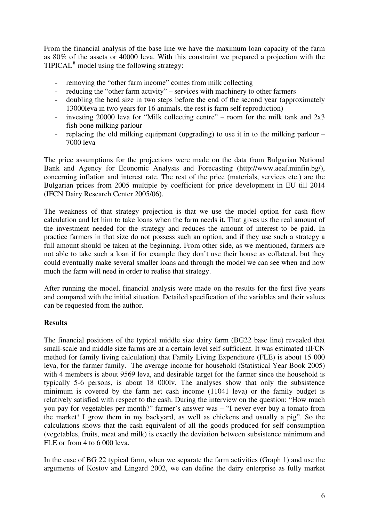From the financial analysis of the base line we have the maximum loan capacity of the farm as 80% of the assets or 40000 leva. With this constraint we prepared a projection with the TIPICAL<sup>ii</sup> model using the following strategy:

- removing the "other farm income" comes from milk collecting
- reducing the "other farm activity" services with machinery to other farmers
- doubling the herd size in two steps before the end of the second year (approximately 13000leva in two years for 16 animals, the rest is farm self reproduction)
- investing 20000 leva for "Milk collecting centre" room for the milk tank and 2x3 fish bone milking parlour
- replacing the old milking equipment (upgrading) to use it in to the milking parlour 7000 leva

The price assumptions for the projections were made on the data from Bulgarian National Bank and Agency for Economic Analysis and Forecasting (http://www.aeaf.minfin.bg/), concerning inflation and interest rate. The rest of the price (materials, services etc.) are the Bulgarian prices from 2005 multiple by coefficient for price development in EU till 2014 (IFCN Dairy Research Center 2005/06).

The weakness of that strategy projection is that we use the model option for cash flow calculation and let him to take loans when the farm needs it. That gives us the real amount of the investment needed for the strategy and reduces the amount of interest to be paid. In practice farmers in that size do not possess such an option, and if they use such a strategy a full amount should be taken at the beginning. From other side, as we mentioned, farmers are not able to take such a loan if for example they don't use their house as collateral, but they could eventually make several smaller loans and through the model we can see when and how much the farm will need in order to realise that strategy.

After running the model, financial analysis were made on the results for the first five years and compared with the initial situation. Detailed specification of the variables and their values can be requested from the author.

## **Results**

The financial positions of the typical middle size dairy farm (BG22 base line) revealed that small-scale and middle size farms are at a certain level self-sufficient. It was estimated (IFCN method for family living calculation) that Family Living Expenditure (FLE) is about 15 000 leva, for the farmer family. The average income for household (Statistical Year Book 2005) with 4 members is about 9569 leva, and desirable target for the farmer since the household is typically 5-6 persons, is about 18 000lv. The analyses show that only the subsistence minimum is covered by the farm net cash income (11041 leva) or the family budget is relatively satisfied with respect to the cash. During the interview on the question: "How much you pay for vegetables per month?" farmer's answer was – "I never ever buy a tomato from the market! I grow them in my backyard, as well as chickens and usually a pig". So the calculations shows that the cash equivalent of all the goods produced for self consumption (vegetables, fruits, meat and milk) is exactly the deviation between subsistence minimum and FLE or from 4 to 6 000 leva.

In the case of BG 22 typical farm, when we separate the farm activities (Graph 1) and use the arguments of Kostov and Lingard 2002, we can define the dairy enterprise as fully market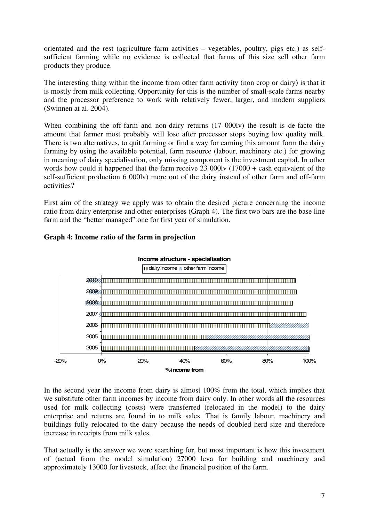orientated and the rest (agriculture farm activities – vegetables, poultry, pigs etc.) as selfsufficient farming while no evidence is collected that farms of this size sell other farm products they produce.

The interesting thing within the income from other farm activity (non crop or dairy) is that it is mostly from milk collecting. Opportunity for this is the number of small-scale farms nearby and the processor preference to work with relatively fewer, larger, and modern suppliers (Swinnen at al. 2004).

When combining the off-farm and non-dairy returns (17 000lv) the result is de-facto the amount that farmer most probably will lose after processor stops buying low quality milk. There is two alternatives, to quit farming or find a way for earning this amount form the dairy farming by using the available potential, farm resource (labour, machinery etc.) for growing in meaning of dairy specialisation, only missing component is the investment capital. In other words how could it happened that the farm receive  $23\,000 \text{lv}$  (17000 + cash equivalent of the self-sufficient production 6 000lv) more out of the dairy instead of other farm and off-farm activities?

First aim of the strategy we apply was to obtain the desired picture concerning the income ratio from dairy enterprise and other enterprises (Graph 4). The first two bars are the base line farm and the "better managed" one for first year of simulation.



## **Graph 4: Income ratio of the farm in projection**

In the second year the income from dairy is almost 100% from the total, which implies that we substitute other farm incomes by income from dairy only. In other words all the resources used for milk collecting (costs) were transferred (relocated in the model) to the dairy enterprise and returns are found in to milk sales. That is family labour, machinery and buildings fully relocated to the dairy because the needs of doubled herd size and therefore increase in receipts from milk sales.

That actually is the answer we were searching for, but most important is how this investment of (actual from the model simulation) 27000 leva for building and machinery and approximately 13000 for livestock, affect the financial position of the farm.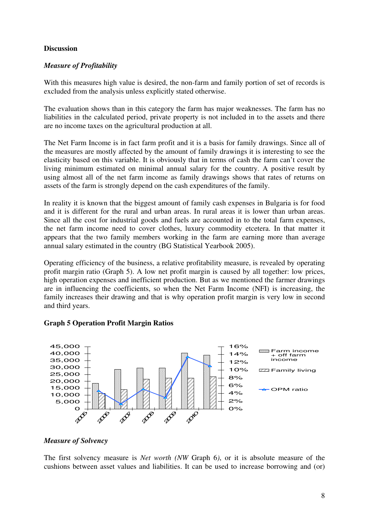#### **Discussion**

## *Measure of Profitability*

With this measures high value is desired, the non-farm and family portion of set of records is excluded from the analysis unless explicitly stated otherwise.

The evaluation shows than in this category the farm has major weaknesses. The farm has no liabilities in the calculated period, private property is not included in to the assets and there are no income taxes on the agricultural production at all.

The Net Farm Income is in fact farm profit and it is a basis for family drawings. Since all of the measures are mostly affected by the amount of family drawings it is interesting to see the elasticity based on this variable. It is obviously that in terms of cash the farm can't cover the living minimum estimated on minimal annual salary for the country. A positive result by using almost all of the net farm income as family drawings shows that rates of returns on assets of the farm is strongly depend on the cash expenditures of the family.

In reality it is known that the biggest amount of family cash expenses in Bulgaria is for food and it is different for the rural and urban areas. In rural areas it is lower than urban areas. Since all the cost for industrial goods and fuels are accounted in to the total farm expenses, the net farm income need to cover clothes, luxury commodity etcetera. In that matter it appears that the two family members working in the farm are earning more than average annual salary estimated in the country (BG Statistical Yearbook 2005).

Operating efficiency of the business, a relative profitability measure, is revealed by operating profit margin ratio (Graph 5). A low net profit margin is caused by all together: low prices, high operation expenses and inefficient production. But as we mentioned the farmer drawings are in influencing the coefficients, so when the Net Farm Income (NFI) is increasing, the family increases their drawing and that is why operation profit margin is very low in second and third years.

## **Graph 5 Operation Profit Margin Ratios**



#### *Measure of Solvency*

The first solvency measure is *Net worth (NW* Graph 6*)*, or it is absolute measure of the cushions between asset values and liabilities. It can be used to increase borrowing and (or)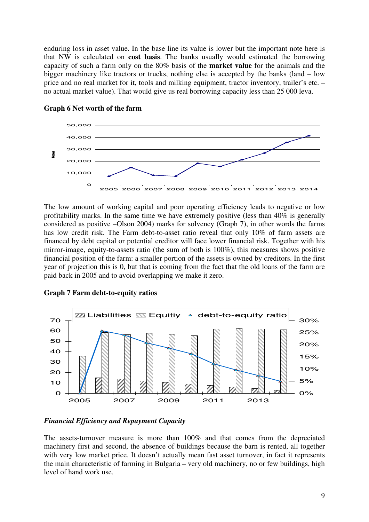enduring loss in asset value. In the base line its value is lower but the important note here is that NW is calculated on **cost basis**. The banks usually would estimated the borrowing capacity of such a farm only on the 80% basis of the **market value** for the animals and the bigger machinery like tractors or trucks, nothing else is accepted by the banks (land – low price and no real market for it, tools and milking equipment, tractor inventory, trailer's etc. – no actual market value). That would give us real borrowing capacity less than 25 000 leva.



## **Graph 6 Net worth of the farm**

The low amount of working capital and poor operating efficiency leads to negative or low profitability marks. In the same time we have extremely positive (less than 40% is generally considered as positive –Olson 2004) marks for solvency (Graph 7), in other words the farms has low credit risk. The Farm debt-to-asset ratio reveal that only 10% of farm assets are financed by debt capital or potential creditor will face lower financial risk. Together with his mirror-image, equity-to-assets ratio (the sum of both is 100%), this measures shows positive financial position of the farm: a smaller portion of the assets is owned by creditors. In the first year of projection this is 0, but that is coming from the fact that the old loans of the farm are paid back in 2005 and to avoid overlapping we make it zero.

**Graph 7 Farm debt-to-equity ratios** 



## *Financial Efficiency and Repayment Capacity*

The assets-turnover measure is more than 100% and that comes from the depreciated machinery first and second, the absence of buildings because the barn is rented, all together with very low market price. It doesn't actually mean fast asset turnover, in fact it represents the main characteristic of farming in Bulgaria – very old machinery, no or few buildings, high level of hand work use.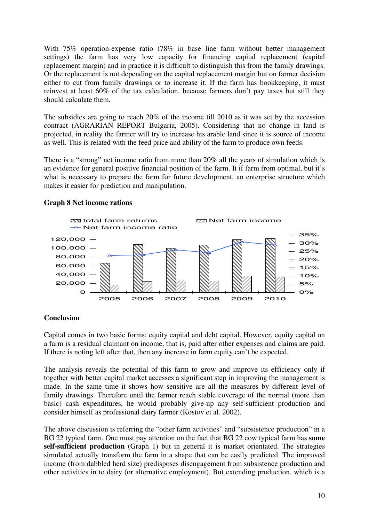With 75% operation-expense ratio (78% in base line farm without better management settings) the farm has very low capacity for financing capital replacement (capital replacement margin) and in practice it is difficult to distinguish this from the family drawings. Or the replacement is not depending on the capital replacement margin but on farmer decision either to cut from family drawings or to increase it. If the farm has bookkeeping, it must reinvest at least 60% of the tax calculation, because farmers don't pay taxes but still they should calculate them.

The subsidies are going to reach 20% of the income till 2010 as it was set by the accession contract (AGRARIAN REPORT Bulgaria, 2005). Considering that no change in land is projected, in reality the farmer will try to increase his arable land since it is source of income as well. This is related with the feed price and ability of the farm to produce own feeds.

There is a "strong" net income ratio from more than 20% all the years of simulation which is an evidence for general positive financial position of the farm. It if farm from optimal, but it's what is necessary to prepare the farm for future development, an enterprise structure which makes it easier for prediction and manipulation.



#### **Graph 8 Net income rations**

#### **Conclusion**

Capital comes in two basic forms: equity capital and debt capital. However, equity capital on a farm is a residual claimant on income, that is, paid after other expenses and claims are paid. If there is noting left after that, then any increase in farm equity can't be expected.

The analysis reveals the potential of this farm to grow and improve its efficiency only if together with better capital market accesses a significant step in improving the management is made. In the same time it shows how sensitive are all the measures by different level of family drawings. Therefore until the farmer reach stable coverage of the normal (more than basic) cash expenditures, he would probably give-up any self-sufficient production and consider himself as professional dairy farmer (Kostov et al. 2002).

The above discussion is referring the "other farm activities" and "subsistence production" in a BG 22 typical farm. One must pay attention on the fact that BG 22 cow typical farm has **some self-sufficient production** (Graph 1) but in general it is market orientated. The strategies simulated actually transform the farm in a shape that can be easily predicted. The improved income (from dabbled herd size) predisposes disengagement from subsistence production and other activities in to dairy (or alternative employment). But extending production, which is a